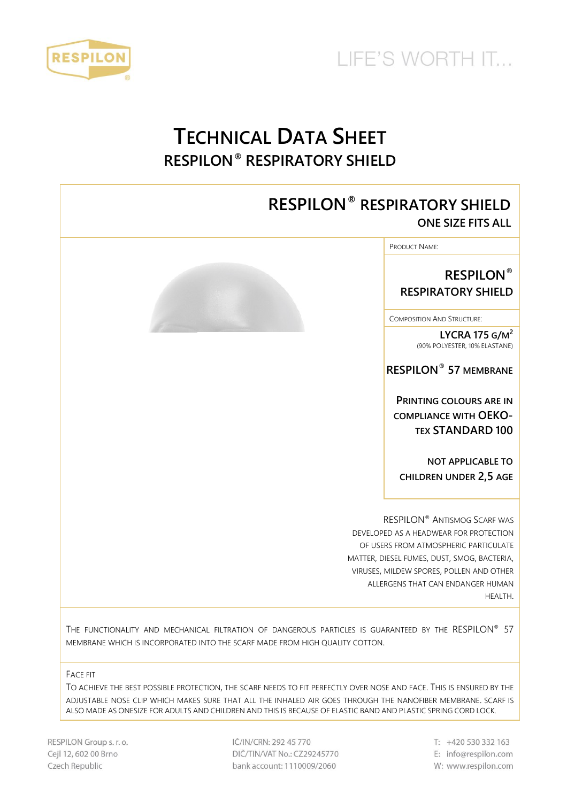



## **TECHNICAL DATA SHEET RESPILON® RESPIRATORY SHIELD**

### **RESPILON® RESPIRATORY SHIELD ONE SIZE FITS ALL**

PRODUCT NAME:

**RESPILON® RESPIRATORY SHIELD**

COMPOSITION AND STRUCTURE:

**LYCRA 175 G/M 2** (90% POLYESTER, 10% ELASTANE)

**RESPILON® 57 MEMBRANE**

**PRINTING COLOURS ARE IN COMPLIANCE WITH OEKO-TEX STANDARD 100**

**NOT APPLICABLE TO CHILDREN UNDER 2,5 AGE**

RESPILON® ANTISMOG SCARF WAS DEVELOPED AS A HEADWEAR FOR PROTECTION OF USERS FROM ATMOSPHERIC PARTICULATE MATTER, DIESEL FUMES, DUST, SMOG, BACTERIA, VIRUSES, MILDEW SPORES, POLLEN AND OTHER ALLERGENS THAT CAN ENDANGER HUMAN HEALTH.

THE FUNCTIONALITY AND MECHANICAL FILTRATION OF DANGEROUS PARTICLES IS GUARANTEED BY THE RESPILON® 57 MEMBRANE WHICH IS INCORPORATED INTO THE SCARF MADE FROM HIGH QUALITY COTTON.

FACE FIT

TO ACHIEVE THE BEST POSSIBLE PROTECTION, THE SCARF NEEDS TO FIT PERFECTLY OVER NOSE AND FACE. THIS IS ENSURED BY THE ADJUSTABLE NOSE CLIP WHICH MAKES SURE THAT ALL THE INHALED AIR GOES THROUGH THE NANOFIBER MEMBRANE. SCARF IS ALSO MADE AS ONESIZE FOR ADULTS AND CHILDREN AND THIS IS BECAUSE OF ELASTIC BAND AND PLASTIC SPRING CORD LOCK.

RESPILON Group s. r. o. Cejl 12, 602 00 Brno Czech Republic

IČ/IN/CRN: 292 45 770 DIČ/TIN/VAT No.: CZ29245770 bank account: 1110009/2060

 $T: +420530332163$ E: info@respilon.com W: www.respilon.com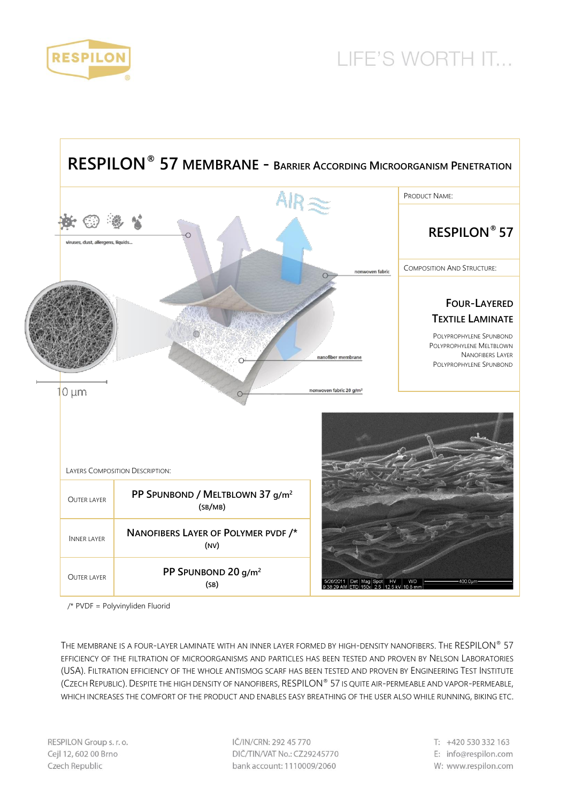



/\* PVDF = Polyvinyliden Fluorid

THE MEMBRANE IS A FOUR-LAYER LAMINATE WITH AN INNER LAYER FORMED BY HIGH-DENSITY NANOFIBERS. THE RESPILON® 57 EFFICIENCY OF THE FILTRATION OF MICROORGANISMS AND PARTICLES HAS BEEN TESTED AND PROVEN BY NELSON LABORATORIES (USA). FILTRATION EFFICIENCY OF THE WHOLE ANTISMOG SCARF HAS BEEN TESTED AND PROVEN BY ENGINEERING TEST INSTITUTE (CZECH REPUBLIC).DESPITE THE HIGH DENSITY OF NANOFIBERS, RESPILON® 57 IS QUITE AIR-PERMEABLE AND VAPOR-PERMEABLE, WHICH INCREASES THE COMFORT OF THE PRODUCT AND ENABLES EASY BREATHING OF THE USER ALSO WHILE RUNNING, BIKING ETC.

IČ/IN/CRN: 292 45 770 DIČ/TIN/VAT No.: CZ29245770 bank account: 1110009/2060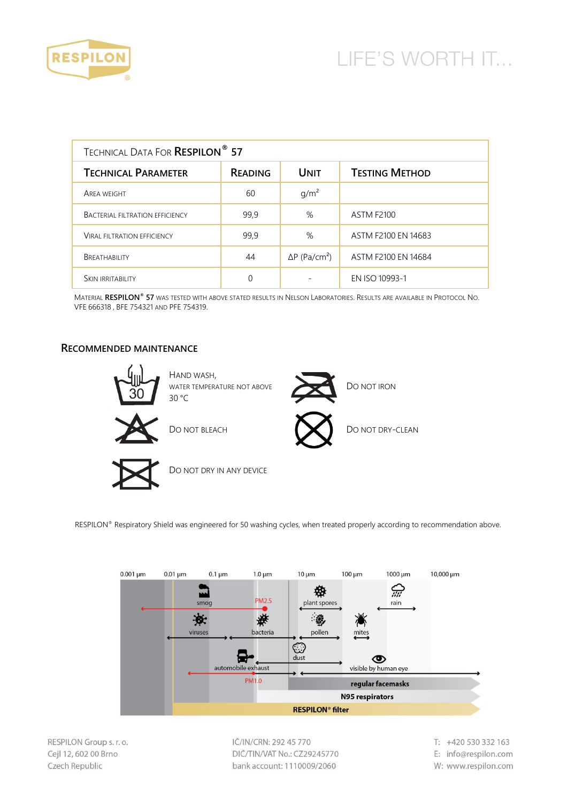

| <b>TECHNICAL DATA FOR RESPILON<sup>®</sup> 57</b> |                |                                  |                       |  |
|---------------------------------------------------|----------------|----------------------------------|-----------------------|--|
| <b>TECHNICAL PARAMETER</b>                        | <b>READING</b> | <b>UNIT</b>                      | <b>TESTING METHOD</b> |  |
| <b>AREA WEIGHT</b>                                | 60             | g/m <sup>2</sup>                 |                       |  |
| <b>BACTERIAL FILTRATION EFFICIENCY</b>            | 99.9           | %                                | <b>ASTM F2100</b>     |  |
| <b>VIRAL FILTRATION EFFICIENCY</b>                | 99,9           | %                                | ASTM F2100 EN 14683   |  |
| BREATHABILITY                                     | 44             | $\Delta P$ (Pa/cm <sup>2</sup> ) | ASTM F2100 EN 14684   |  |
| <b>SKIN IRRITABILITY</b>                          |                |                                  | EN ISO 10993-1        |  |

MATERIAL **RESPILON® 57** WAS TESTED WITH ABOVE STATED RESULTS IN NELSON LABORATORIES. RESULTS ARE AVAILABLE IN PROTOCOL NO. VFE 666318 , BFE 754321 AND PFE 754319.

#### **RECOMMENDED MAINTENANCE**



RESPILON® Respiratory Shield was engineered for 50 washing cycles, when treated properly according to recommendation above.



RESPILON Group s. r. o. Cejl 12, 602 00 Brno Czech Republic

IČ/IN/CRN: 292 45 770 DIČ/TIN/VAT No.: CZ29245770 bank account: 1110009/2060

T: +420 530 332 163 E: info@respilon.com W: www.respilon.com